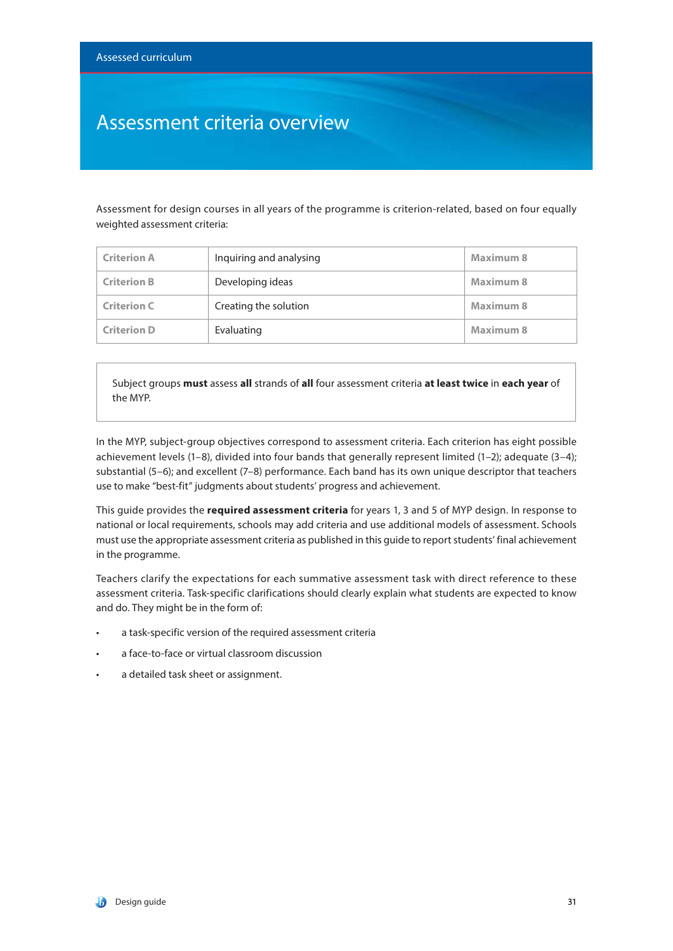### Assessment criteria overview

Assessment for design courses in all years of the programme is criterion-related, based on four equally weighted assessment criteria:

| <b>Criterion A</b> | Inquiring and analysing | Maximum 8 |
|--------------------|-------------------------|-----------|
| <b>Criterion B</b> | Developing ideas        | Maximum 8 |
| <b>Criterion C</b> | Creating the solution   | Maximum 8 |
| <b>Criterion D</b> | Evaluating              | Maximum 8 |

Subject groups **must** assess **all** strands of **all** four assessment criteria **at least twice** in **each year** of the MYP.

In the MYP, subject-group objectives correspond to assessment criteria. Each criterion has eight possible achievement levels (1–8), divided into four bands that generally represent limited (1–2); adequate (3–4); substantial (5–6); and excellent (7–8) performance. Each band has its own unique descriptor that teachers use to make "best-fit" judgments about students' progress and achievement.

This guide provides the **required assessment criteria** for years 1, 3 and 5 of MYP design. In response to national or local requirements, schools may add criteria and use additional models of assessment. Schools must use the appropriate assessment criteria as published in this guide to report students' final achievement in the programme.

Teachers clarify the expectations for each summative assessment task with direct reference to these assessment criteria. Task-specific clarifications should clearly explain what students are expected to know and do. They might be in the form of:

- a task-specific version of the required assessment criteria
- a face-to-face or virtual classroom discussion
- a detailed task sheet or assignment.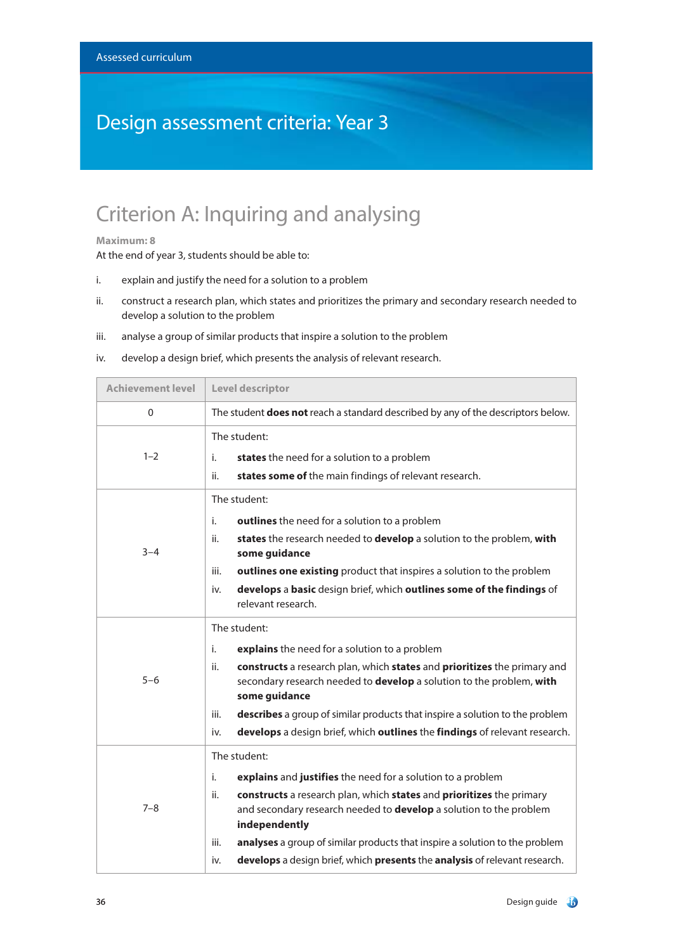# Design assessment criteria: Year 3

### Criterion A: Inquiring and analysing

### **Maximum: 8**

- i. explain and justify the need for a solution to a problem
- ii. construct a research plan, which states and prioritizes the primary and secondary research needed to develop a solution to the problem
- iii. analyse a group of similar products that inspire a solution to the problem
- iv. develop a design brief, which presents the analysis of relevant research.

| <b>Achievement level</b> | Level descriptor                                                                                                                                                                |  |
|--------------------------|---------------------------------------------------------------------------------------------------------------------------------------------------------------------------------|--|
| $\Omega$                 | The student does not reach a standard described by any of the descriptors below.                                                                                                |  |
|                          | The student:                                                                                                                                                                    |  |
| $1 - 2$                  | states the need for a solution to a problem<br>i.                                                                                                                               |  |
|                          | states some of the main findings of relevant research.<br>ii.                                                                                                                   |  |
|                          | The student:                                                                                                                                                                    |  |
|                          | outlines the need for a solution to a problem<br>i.                                                                                                                             |  |
| $3 - 4$                  | states the research needed to develop a solution to the problem, with<br>ii.<br>some guidance                                                                                   |  |
|                          | outlines one existing product that inspires a solution to the problem<br>iii.                                                                                                   |  |
|                          | develops a basic design brief, which outlines some of the findings of<br>iv.<br>relevant research.                                                                              |  |
|                          | The student:                                                                                                                                                                    |  |
|                          | i.<br>explains the need for a solution to a problem                                                                                                                             |  |
| $5 - 6$                  | constructs a research plan, which states and prioritizes the primary and<br>ii.<br>secondary research needed to <b>develop</b> a solution to the problem, with<br>some guidance |  |
|                          | describes a group of similar products that inspire a solution to the problem<br>iii.                                                                                            |  |
|                          | develops a design brief, which outlines the findings of relevant research.<br>iv.                                                                                               |  |
| $7 - 8$                  | The student:                                                                                                                                                                    |  |
|                          | explains and justifies the need for a solution to a problem<br>i.                                                                                                               |  |
|                          | constructs a research plan, which states and prioritizes the primary<br>ii.<br>and secondary research needed to develop a solution to the problem<br>independently              |  |
|                          | analyses a group of similar products that inspire a solution to the problem<br>iii.                                                                                             |  |
|                          | develops a design brief, which presents the analysis of relevant research.<br>iv.                                                                                               |  |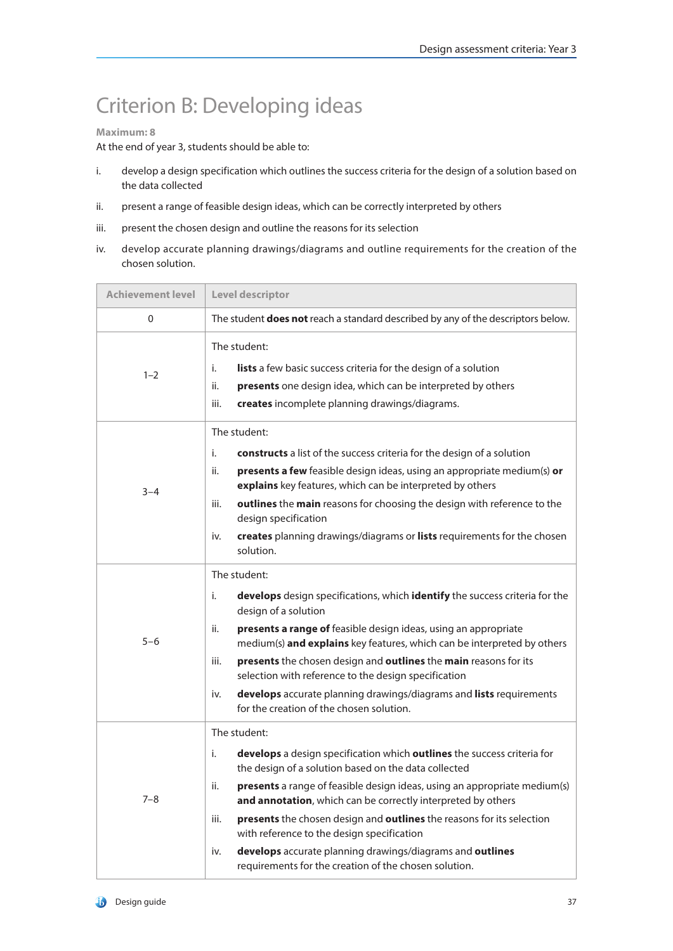# Criterion B: Developing ideas

### **Maximum: 8**

- i. develop a design specification which outlines the success criteria for the design of a solution based on the data collected
- ii. present a range of feasible design ideas, which can be correctly interpreted by others
- iii. present the chosen design and outline the reasons for its selection
- iv. develop accurate planning drawings/diagrams and outline requirements for the creation of the chosen solution.

| <b>Achievement level</b> | Level descriptor                                                                                                                                                                                                                                                                                                                                                                                                                                                                                                                                                             |  |
|--------------------------|------------------------------------------------------------------------------------------------------------------------------------------------------------------------------------------------------------------------------------------------------------------------------------------------------------------------------------------------------------------------------------------------------------------------------------------------------------------------------------------------------------------------------------------------------------------------------|--|
| 0                        | The student <b>does not</b> reach a standard described by any of the descriptors below.                                                                                                                                                                                                                                                                                                                                                                                                                                                                                      |  |
| $1 - 2$                  | The student:<br>i.<br>lists a few basic success criteria for the design of a solution<br>ii.<br>presents one design idea, which can be interpreted by others<br>iii.<br>creates incomplete planning drawings/diagrams.                                                                                                                                                                                                                                                                                                                                                       |  |
| $3 - 4$                  | The student:<br>i.<br>constructs a list of the success criteria for the design of a solution<br>presents a few feasible design ideas, using an appropriate medium(s) or<br>ii.<br>explains key features, which can be interpreted by others<br>iii.<br>outlines the main reasons for choosing the design with reference to the<br>design specification<br>creates planning drawings/diagrams or lists requirements for the chosen<br>iv.<br>solution.                                                                                                                        |  |
| $5 - 6$                  | The student:<br>i.<br>develops design specifications, which identify the success criteria for the<br>design of a solution<br>presents a range of feasible design ideas, using an appropriate<br>ii.<br>medium(s) and explains key features, which can be interpreted by others<br>presents the chosen design and outlines the main reasons for its<br>iii.<br>selection with reference to the design specification<br>develops accurate planning drawings/diagrams and lists requirements<br>iv.<br>for the creation of the chosen solution.                                 |  |
| $7 - 8$                  | The student:<br>develops a design specification which outlines the success criteria for<br>i.<br>the design of a solution based on the data collected<br>ii.<br><b>presents</b> a range of feasible design ideas, using an appropriate medium(s)<br>and annotation, which can be correctly interpreted by others<br>presents the chosen design and outlines the reasons for its selection<br>iii.<br>with reference to the design specification<br>develops accurate planning drawings/diagrams and outlines<br>iv.<br>requirements for the creation of the chosen solution. |  |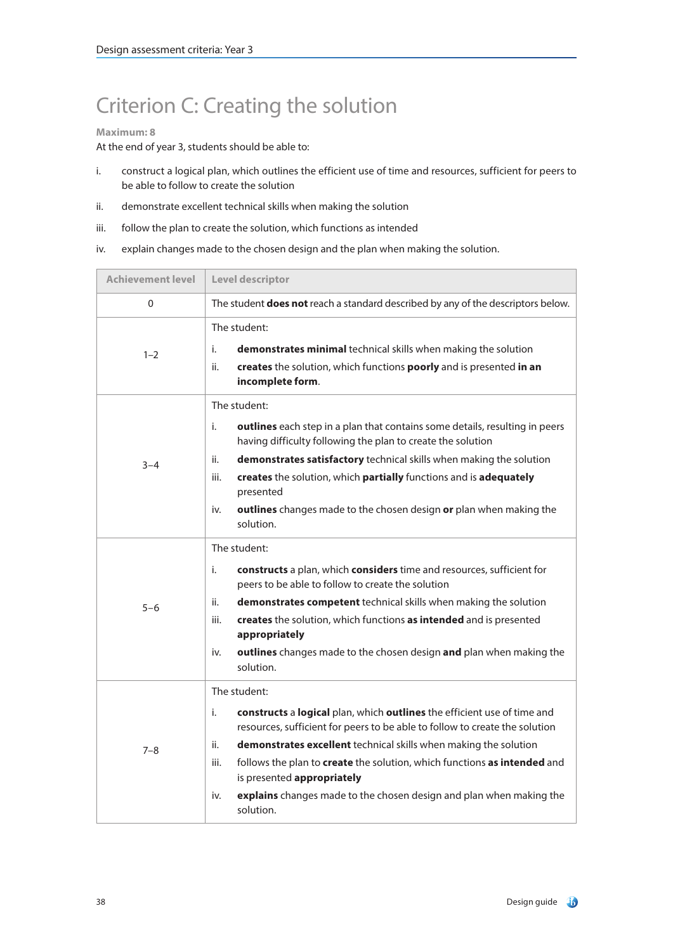# Criterion C: Creating the solution

### **Maximum: 8**

- i. construct a logical plan, which outlines the efficient use of time and resources, sufficient for peers to be able to follow to create the solution
- ii. demonstrate excellent technical skills when making the solution
- iii. follow the plan to create the solution, which functions as intended
- iv. explain changes made to the chosen design and the plan when making the solution.

| <b>Achievement level</b> | Level descriptor                                                                                                                                                                                                                                                                                                                                                                                                                                                     |  |
|--------------------------|----------------------------------------------------------------------------------------------------------------------------------------------------------------------------------------------------------------------------------------------------------------------------------------------------------------------------------------------------------------------------------------------------------------------------------------------------------------------|--|
| $\Omega$                 | The student does not reach a standard described by any of the descriptors below.                                                                                                                                                                                                                                                                                                                                                                                     |  |
| $1 - 2$                  | The student:<br>i.<br>demonstrates minimal technical skills when making the solution<br>ii.<br>creates the solution, which functions poorly and is presented in an<br>incomplete form.                                                                                                                                                                                                                                                                               |  |
| $3 - 4$                  | The student:<br>i.<br><b>outlines</b> each step in a plan that contains some details, resulting in peers<br>having difficulty following the plan to create the solution<br>demonstrates satisfactory technical skills when making the solution<br>ii.<br>creates the solution, which partially functions and is adequately<br>iii.<br>presented<br>outlines changes made to the chosen design or plan when making the<br>iv.<br>solution.                            |  |
| $5 - 6$                  | The student:<br>constructs a plan, which considers time and resources, sufficient for<br>i.<br>peers to be able to follow to create the solution<br>ii.<br>demonstrates competent technical skills when making the solution<br>iii.<br>creates the solution, which functions as intended and is presented<br>appropriately<br>outlines changes made to the chosen design and plan when making the<br>iv.<br>solution.                                                |  |
| $7 - 8$                  | The student:<br>constructs a logical plan, which outlines the efficient use of time and<br>i.<br>resources, sufficient for peers to be able to follow to create the solution<br>demonstrates excellent technical skills when making the solution<br>ii.<br>follows the plan to create the solution, which functions as intended and<br>iii.<br>is presented appropriately<br>explains changes made to the chosen design and plan when making the<br>iv.<br>solution. |  |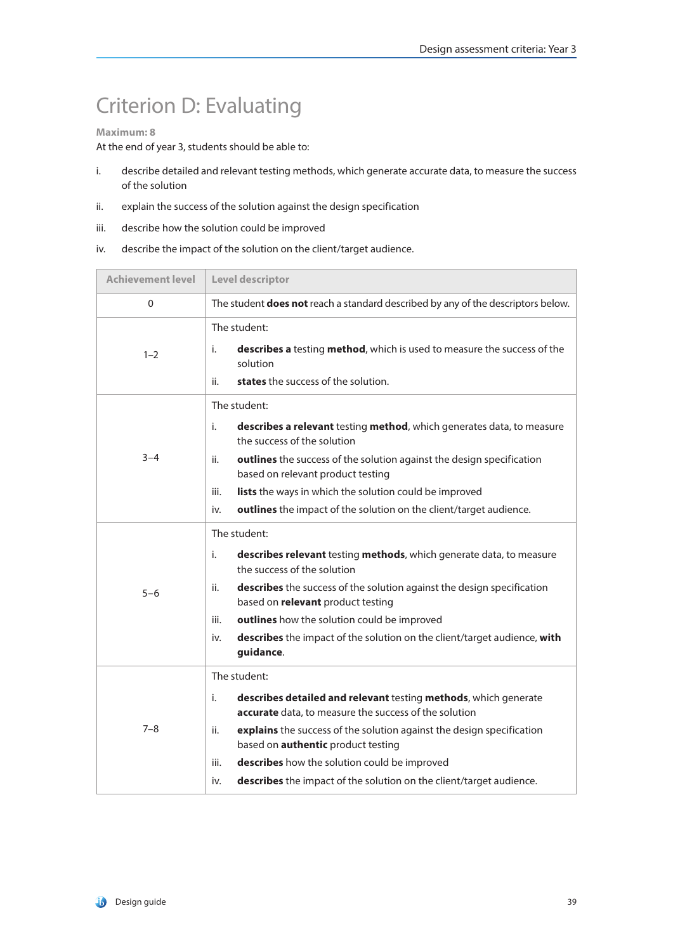# Criterion D: Evaluating

### **Maximum: 8**

- i. describe detailed and relevant testing methods, which generate accurate data, to measure the success of the solution
- ii. explain the success of the solution against the design specification
- iii. describe how the solution could be improved
- iv. describe the impact of the solution on the client/target audience.

| <b>Achievement level</b> | Level descriptor                                                                                                                                                                                                                                                                                                                                                                                                  |  |
|--------------------------|-------------------------------------------------------------------------------------------------------------------------------------------------------------------------------------------------------------------------------------------------------------------------------------------------------------------------------------------------------------------------------------------------------------------|--|
| 0                        | The student does not reach a standard described by any of the descriptors below.                                                                                                                                                                                                                                                                                                                                  |  |
| $1 - 2$                  | The student:<br>describes a testing method, which is used to measure the success of the<br>i.<br>solution<br>states the success of the solution.<br>ii.                                                                                                                                                                                                                                                           |  |
| $3 - 4$                  | The student:<br>i.<br>describes a relevant testing method, which generates data, to measure<br>the success of the solution<br>ii.<br>outlines the success of the solution against the design specification<br>based on relevant product testing<br>lists the ways in which the solution could be improved<br>iii.<br>outlines the impact of the solution on the client/target audience.<br>iv.                    |  |
| $5 - 6$                  | The student:<br>i.<br>describes relevant testing methods, which generate data, to measure<br>the success of the solution<br>describes the success of the solution against the design specification<br>ii.<br>based on relevant product testing<br>iii.<br>outlines how the solution could be improved<br>describes the impact of the solution on the client/target audience, with<br>iv.<br>guidance.             |  |
| $7 - 8$                  | The student:<br>describes detailed and relevant testing methods, which generate<br>i.<br>accurate data, to measure the success of the solution<br>explains the success of the solution against the design specification<br>ii.<br>based on <b>authentic</b> product testing<br>iii.<br>describes how the solution could be improved<br>describes the impact of the solution on the client/target audience.<br>iv. |  |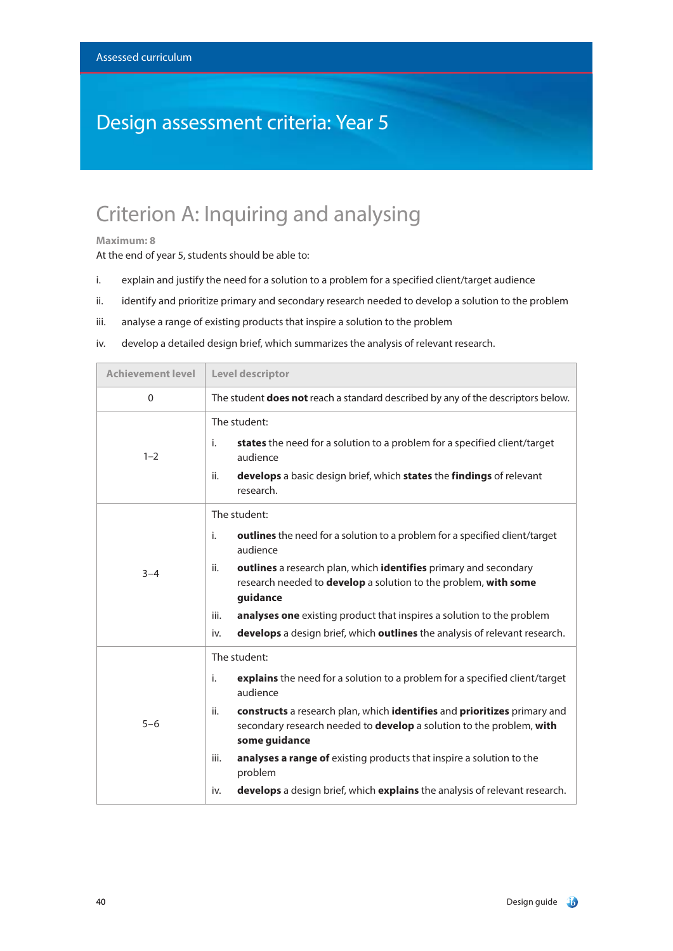# Design assessment criteria: Year 5

# Criterion A: Inquiring and analysing

#### **Maximum: 8**

- i. explain and justify the need for a solution to a problem for a specified client/target audience
- ii. identify and prioritize primary and secondary research needed to develop a solution to the problem
- iii. analyse a range of existing products that inspire a solution to the problem
- iv. develop a detailed design brief, which summarizes the analysis of relevant research.

| <b>Achievement level</b> | Level descriptor                                                                                                                                                                                                                                                                                                                                                                                                                                                          |  |
|--------------------------|---------------------------------------------------------------------------------------------------------------------------------------------------------------------------------------------------------------------------------------------------------------------------------------------------------------------------------------------------------------------------------------------------------------------------------------------------------------------------|--|
| $\Omega$                 | The student <b>does not</b> reach a standard described by any of the descriptors below.                                                                                                                                                                                                                                                                                                                                                                                   |  |
| $1 - 2$                  | The student:<br>states the need for a solution to a problem for a specified client/target<br>i.<br>audience<br>develops a basic design brief, which states the findings of relevant<br>ii.<br>research.                                                                                                                                                                                                                                                                   |  |
| $3 - 4$                  | The student:<br>outlines the need for a solution to a problem for a specified client/target<br>i.<br>audience<br>outlines a research plan, which identifies primary and secondary<br>ii.<br>research needed to develop a solution to the problem, with some<br>guidance<br>analyses one existing product that inspires a solution to the problem<br>iii.<br>develops a design brief, which outlines the analysis of relevant research.<br>iv.                             |  |
| $5 - 6$                  | The student:<br>i.<br>explains the need for a solution to a problem for a specified client/target<br>audience<br>constructs a research plan, which identifies and prioritizes primary and<br>ii.<br>secondary research needed to develop a solution to the problem, with<br>some guidance<br>analyses a range of existing products that inspire a solution to the<br>iii.<br>problem<br>develops a design brief, which explains the analysis of relevant research.<br>iv. |  |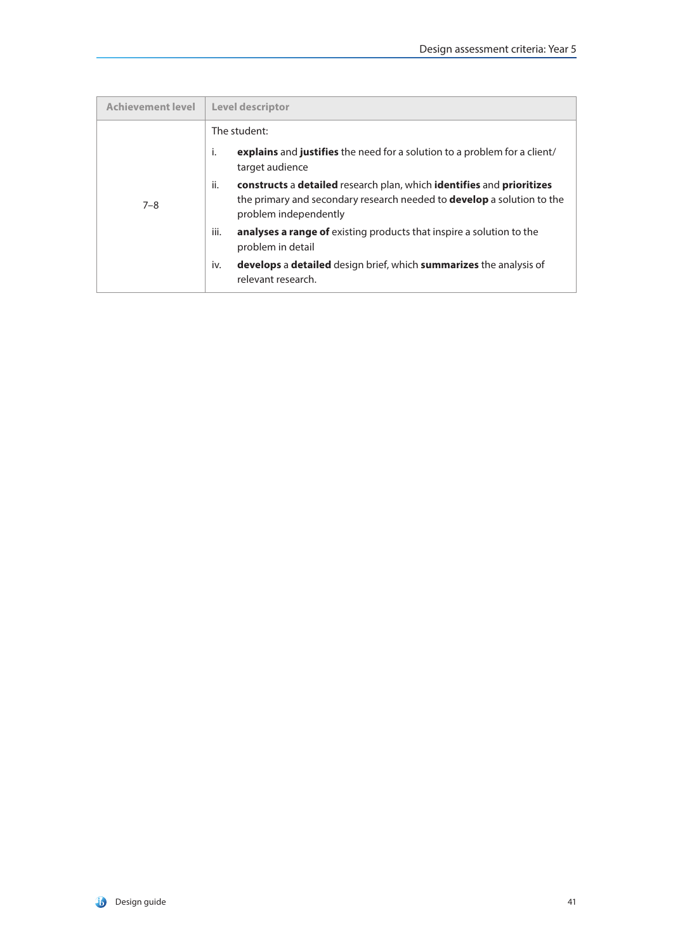| <b>Achievement level</b> | <b>Level descriptor</b>                                                                                                                                                                |
|--------------------------|----------------------------------------------------------------------------------------------------------------------------------------------------------------------------------------|
|                          | The student:                                                                                                                                                                           |
| $7 - 8$                  | j.<br>explains and justifies the need for a solution to a problem for a client/<br>target audience                                                                                     |
|                          | ii.<br>constructs a detailed research plan, which identifies and prioritizes<br>the primary and secondary research needed to <b>develop</b> a solution to the<br>problem independently |
|                          | iii.<br>analyses a range of existing products that inspire a solution to the<br>problem in detail                                                                                      |
|                          | develops a detailed design brief, which summarizes the analysis of<br>iv.<br>relevant research.                                                                                        |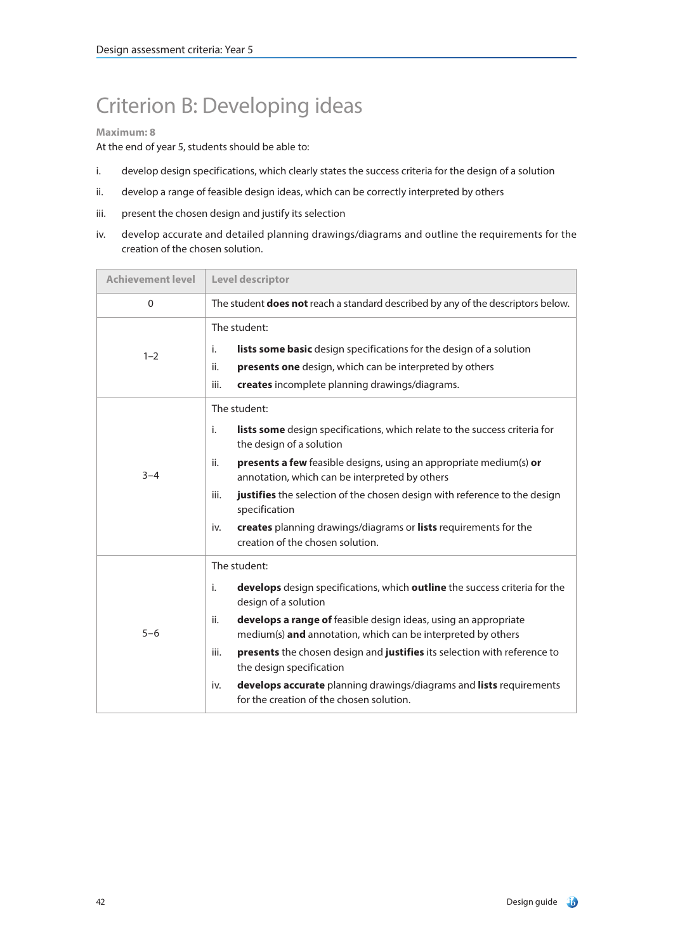# Criterion B: Developing ideas

### **Maximum: 8**

- i. develop design specifications, which clearly states the success criteria for the design of a solution
- ii. develop a range of feasible design ideas, which can be correctly interpreted by others
- iii. present the chosen design and justify its selection
- iv. develop accurate and detailed planning drawings/diagrams and outline the requirements for the creation of the chosen solution.

| <b>Achievement level</b> | Level descriptor                                                                                                                                                                                                                                                                                                                                                                                                                                                                                             |  |
|--------------------------|--------------------------------------------------------------------------------------------------------------------------------------------------------------------------------------------------------------------------------------------------------------------------------------------------------------------------------------------------------------------------------------------------------------------------------------------------------------------------------------------------------------|--|
| $\mathbf 0$              | The student <b>does not</b> reach a standard described by any of the descriptors below.                                                                                                                                                                                                                                                                                                                                                                                                                      |  |
| $1 - 2$                  | The student:<br>lists some basic design specifications for the design of a solution<br>i.<br>presents one design, which can be interpreted by others<br>ii.<br>iii.<br>creates incomplete planning drawings/diagrams.                                                                                                                                                                                                                                                                                        |  |
| $3 - 4$                  | The student:<br>lists some design specifications, which relate to the success criteria for<br>i.<br>the design of a solution<br>ii.<br>presents a few feasible designs, using an appropriate medium(s) or<br>annotation, which can be interpreted by others<br>justifies the selection of the chosen design with reference to the design<br>iii.<br>specification<br>creates planning drawings/diagrams or lists requirements for the<br>iv.<br>creation of the chosen solution.                             |  |
| $5 - 6$                  | The student:<br>develops design specifications, which outline the success criteria for the<br>i.<br>design of a solution<br>develops a range of feasible design ideas, using an appropriate<br>ii.<br>medium(s) and annotation, which can be interpreted by others<br>presents the chosen design and justifies its selection with reference to<br>iii.<br>the design specification<br>develops accurate planning drawings/diagrams and lists requirements<br>iv.<br>for the creation of the chosen solution. |  |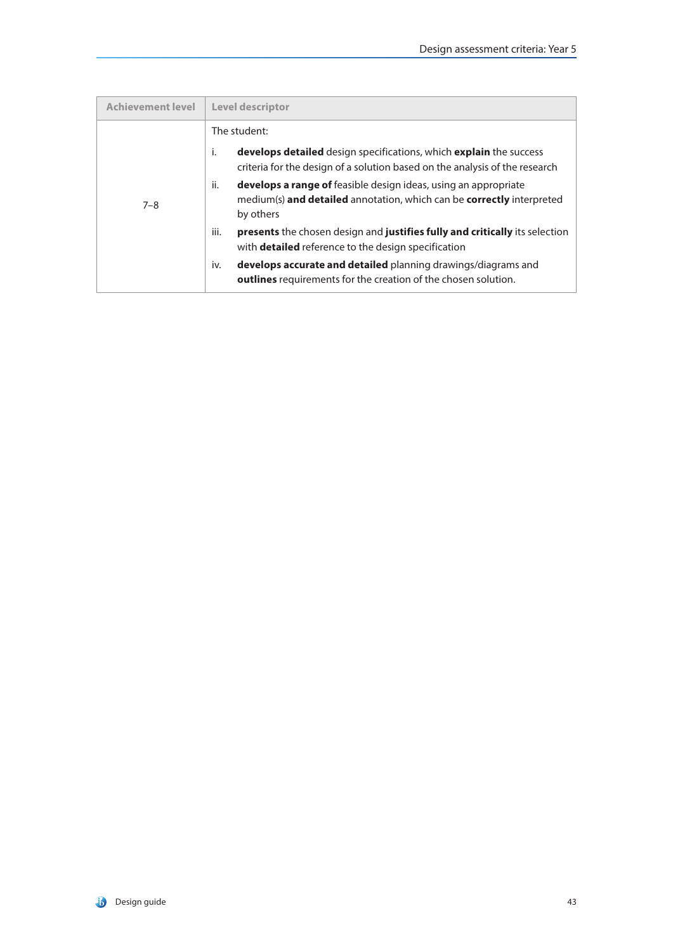| <b>Achievement level</b> | <b>Level descriptor</b>                                                                                                                                             |  |
|--------------------------|---------------------------------------------------------------------------------------------------------------------------------------------------------------------|--|
|                          | The student:                                                                                                                                                        |  |
| $7 - 8$                  | develops detailed design specifications, which explain the success<br>i.<br>criteria for the design of a solution based on the analysis of the research             |  |
|                          | ii.<br><b>develops a range of</b> feasible design ideas, using an appropriate<br>medium(s) and detailed annotation, which can be correctly interpreted<br>by others |  |
|                          | iii.<br><b>presents</b> the chosen design and <b>justifies fully and critically</b> its selection<br>with <b>detailed</b> reference to the design specification     |  |
|                          | develops accurate and detailed planning drawings/diagrams and<br>iv.<br><b>outlines</b> requirements for the creation of the chosen solution.                       |  |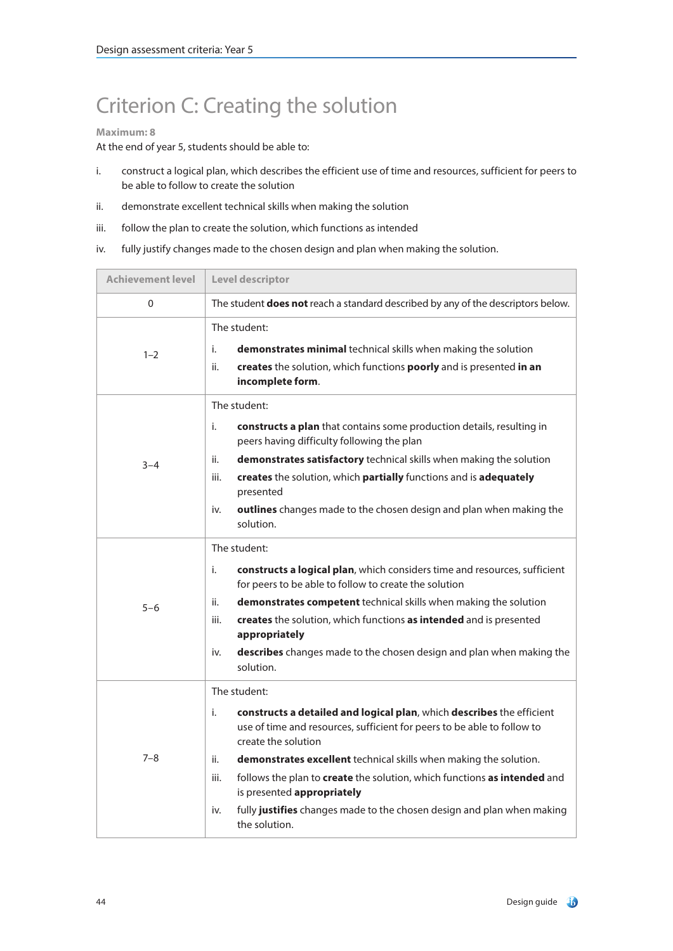# Criterion C: Creating the solution

### **Maximum: 8**

- i. construct a logical plan, which describes the efficient use of time and resources, sufficient for peers to be able to follow to create the solution
- ii. demonstrate excellent technical skills when making the solution
- iii. follow the plan to create the solution, which functions as intended
- iv. fully justify changes made to the chosen design and plan when making the solution.

| <b>Achievement level</b> | Level descriptor                                                                                                                                                                                                                                                                                                                                                                                                                                                                              |  |
|--------------------------|-----------------------------------------------------------------------------------------------------------------------------------------------------------------------------------------------------------------------------------------------------------------------------------------------------------------------------------------------------------------------------------------------------------------------------------------------------------------------------------------------|--|
| $\Omega$                 | The student does not reach a standard described by any of the descriptors below.                                                                                                                                                                                                                                                                                                                                                                                                              |  |
| $1 - 2$                  | The student:<br>i.<br>demonstrates minimal technical skills when making the solution<br>ii.<br>creates the solution, which functions poorly and is presented in an<br>incomplete form.                                                                                                                                                                                                                                                                                                        |  |
| $3 - 4$                  | The student:<br>i.<br>constructs a plan that contains some production details, resulting in<br>peers having difficulty following the plan<br>demonstrates satisfactory technical skills when making the solution<br>ii.<br>creates the solution, which partially functions and is adequately<br>iii.<br>presented<br>outlines changes made to the chosen design and plan when making the<br>iv.<br>solution.                                                                                  |  |
| $5 - 6$                  | The student:<br>i.<br>constructs a logical plan, which considers time and resources, sufficient<br>for peers to be able to follow to create the solution<br>demonstrates competent technical skills when making the solution<br>ii.<br>creates the solution, which functions as intended and is presented<br>iii.<br>appropriately<br>describes changes made to the chosen design and plan when making the<br>iv.<br>solution.                                                                |  |
| $7 - 8$                  | The student:<br>constructs a detailed and logical plan, which describes the efficient<br>i.<br>use of time and resources, sufficient for peers to be able to follow to<br>create the solution<br>ii.<br>demonstrates excellent technical skills when making the solution.<br>iii.<br>follows the plan to create the solution, which functions as intended and<br>is presented appropriately<br>fully justifies changes made to the chosen design and plan when making<br>iv.<br>the solution. |  |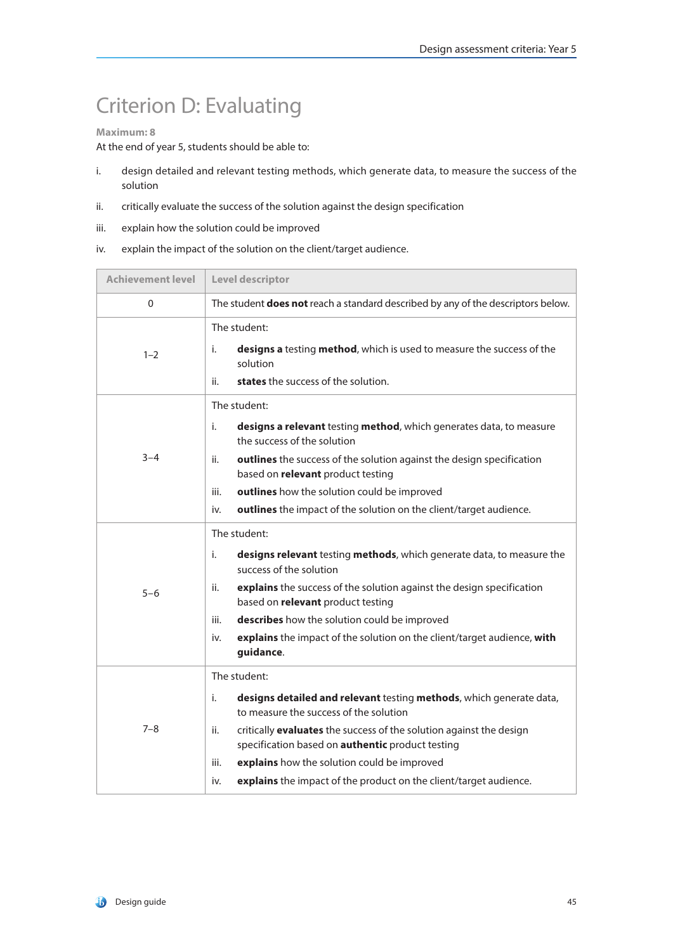# Criterion D: Evaluating

### **Maximum: 8**

- i. design detailed and relevant testing methods, which generate data, to measure the success of the solution
- ii. critically evaluate the success of the solution against the design specification
- iii. explain how the solution could be improved
- iv. explain the impact of the solution on the client/target audience.

| <b>Achievement level</b> | Level descriptor                                                                                                                                                                                                                                                                                                                                                                                                |  |
|--------------------------|-----------------------------------------------------------------------------------------------------------------------------------------------------------------------------------------------------------------------------------------------------------------------------------------------------------------------------------------------------------------------------------------------------------------|--|
| 0                        | The student <b>does not</b> reach a standard described by any of the descriptors below.                                                                                                                                                                                                                                                                                                                         |  |
| $1 - 2$                  | The student:<br>designs a testing method, which is used to measure the success of the<br>i.<br>solution<br>states the success of the solution.<br>ii.                                                                                                                                                                                                                                                           |  |
| $3 - 4$                  | The student:<br>designs a relevant testing method, which generates data, to measure<br>i.<br>the success of the solution<br>outlines the success of the solution against the design specification<br>ii.<br>based on relevant product testing<br>outlines how the solution could be improved<br>iii.<br>outlines the impact of the solution on the client/target audience.<br>iv.                               |  |
| $5 - 6$                  | The student:<br>i.<br>designs relevant testing methods, which generate data, to measure the<br>success of the solution<br>explains the success of the solution against the design specification<br>ii.<br>based on relevant product testing<br>describes how the solution could be improved<br>iii.<br>explains the impact of the solution on the client/target audience, with<br>iv.<br>guidance.              |  |
| $7 - 8$                  | The student:<br>designs detailed and relevant testing methods, which generate data,<br>i.<br>to measure the success of the solution<br>critically evaluates the success of the solution against the design<br>ii.<br>specification based on <b>authentic</b> product testing<br>explains how the solution could be improved<br>iii.<br>explains the impact of the product on the client/target audience.<br>iv. |  |